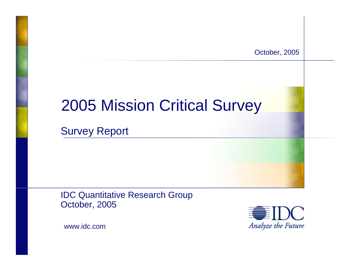October, 2005

# 2005 Mission Critical Survey

Survey Report

IDC Quantitative Research Group October, 2005



www.idc.com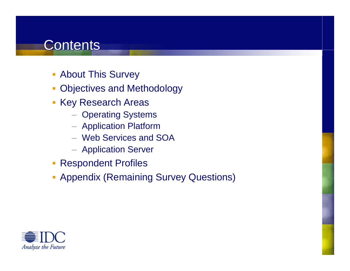# **Contents**

- **About This Survey**
- E Objectives and Methodology
- **Key Research Areas** 
	- Operating Systems
	- Application Platform
	- Web Services and SOA
	- $-$  Application Server
- $\mathbb{R}^2$ Respondent Profiles
- **Appendix (Remaining Survey Questions)**

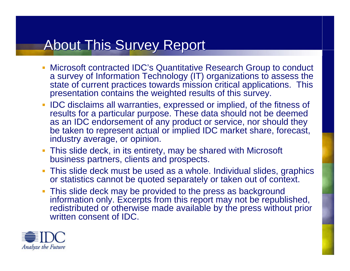# About This Survey Report

- П Microsoft contracted IDC's Quantitative Research Group to conduct a survey of Information Technology (IT) organizations to assess the state of current practices towards mission critical applications. This presentation contains the weighted results of this survey.
- IDC disclaims all warranties, expressed or implied, of the fitness of results for a particular purpose. These data should not be deemed as an IDC endorsement of any product or service, nor should they be taken to represent actual or implied IDC market share, forecast, industry average, or opinion.
- This slide deck, in its entirety, may be shared with Microsoft business partners, clients and prospects.
- This slide deck must be used as a whole. Individual slides, graphics or statistics cannot be quoted separately or taken out of context.
- This slide deck may be provided to the press as background information only. Excerpts from this report may not be republished, redistributed or otherwise made available by the press without prior written consent of IDC.

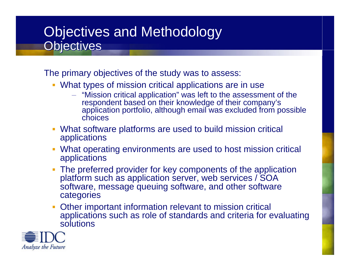## Objectives and Methodology Objectives and Methodology Objectives Objectives

The primary objectives of the study was to assess:

- What types of mission critical applications are in use
	- "Mission critical application" was left to the assessment of the respondent based on their knowledge of their company's application portfolio, although email was excluded from possible choices
- What software platforms are used to build mission critical applications
- What operating environments are used to host mission critical applications
- The preferred provider for key components of the application platform such as application server, web services / SOA software, message queuing software, and other software categories
- Ì. Other important information relevant to mission critical applications such as role of standards and criteria for evaluating solutions

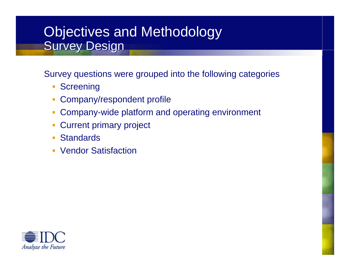## Objectives and Methodology Objectives and Methodology Survey Design Survey Design

Survey questions were grouped into the following categories

- **Screening**
- $\mathcal{L}$ Company/respondent profile
- × Company-wide platform and operating environment
- $\mathcal{C}^{\mathcal{A}}$ Current primary project
- ٠ **Standards**
- $\mathcal{L}$ Vendor Satisfaction

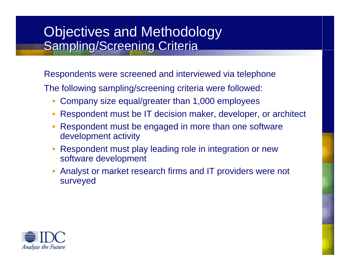### Objectives and Methodology Objectives and Methodology Sampling/Screening Criteria Sampling/Screening Criteria

Respondents were screened and interviewed via telephone

The following sampling/screening criteria were followed:

- × Company size equal/greater than 1,000 employees
- $\mathcal{L}$ Respondent must be IT decision maker, developer, or architect
- Respondent must be engaged in more than one software development activity
- Respondent must play leading role in integration or new software development
- Ì. Analyst or market research firms and IT providers were not surveyed

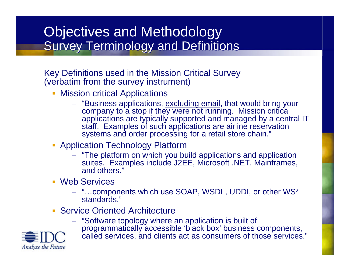## Objectives and Methodology Objectives and Methodology Survey Terminology and Definitions Survey Terminology and Definitions

Key Definitions used in the Mission Critical Survey (verbatim from the survey instrument)

- Ì. Mission critical Applications
	- "Business applications, excluding email, that would bring your company to a stop if they were not running. Mission critical applications are typically supported and managed by a central IT staff. Examples of such applications are airline reservation systems and order processing for a retail store chain."
- **Application Technology Platform** 
	- "The platform on which you build applications and application suites. Examples include J2EE, Microsoft .NET. Mainframes, and others."
- Web Services
	- "…components which use SOAP, WSDL, UDDI, or other WS\* standards."
- **Service Oriented Architecture** 
	- "Software topology where an application is built of programmatically accessible 'black box' business components,



called services, and clients act as consumers of those services."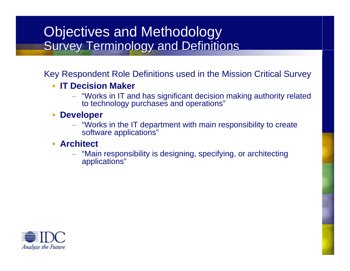### Objectives and Methodology Objectives and Methodology Survey Terminology and Definitions Survey Terminology and Definitions

Key Respondent Role Definitions used in the Mission Critical Survey

- $\mathbf{r}$  **IT Decision Maker**
	- "Works in IT and has significant decision making authority related to technology purchases and operations"
- $\overline{\phantom{a}}$  **Developer**
	- "Works in the IT department with main responsibility to create software applications"
- **Architect**
	- "Main responsibility is designing, specifying, or architecting applications"

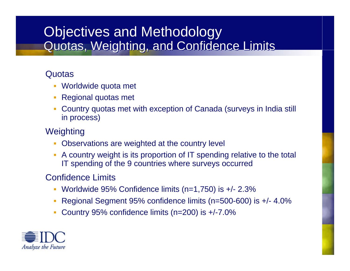## Objectives and Methodology Objectives and Methodology Quotas, Weighting, and Confidence Limits Quotas, Weighting, and Confidence Limits

### **Quotas**

- Worldwide quota met
- Regional quotas met
- ı. Country quotas met with exception of Canada (surveys in India still in process)

### **Weighting**

- Г Observations are weighted at the country level
- A country weight is its proportion of IT spending relative to the total IT spending of the 9 countries where surveys occurred

### Confidence Limits

- Worldwide 95% Confidence limits (n=1,750) is +/- 2.3%
- ı. Regional Segment 95% confidence limits (n=500-600) is +/- 4.0%
- Г Country 95% confidence limits (n=200) is +/-7.0%

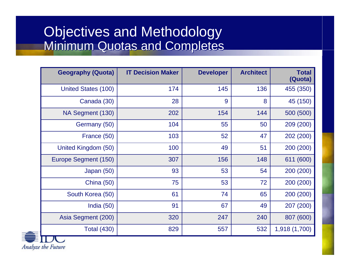### Objectives and Methodology Objectives and Methodology Minimum Quotas and Completes Minimum Quotas and Completes

| <b>Geography (Quota)</b> | <b>IT Decision Maker</b> | <b>Developer</b> | <b>Architect</b> | <b>Total</b><br>(Quota) |
|--------------------------|--------------------------|------------------|------------------|-------------------------|
| United States (100)      | 174                      | 145              | 136              | 455 (350)               |
| Canada (30)              | 28                       | 9                | 8                | 45 (150)                |
| NA Segment (130)         | 202                      | 154              | 144              | 500 (500)               |
| Germany (50)             | 104                      | 55               | 50               | 209 (200)               |
| France (50)              | 103                      | 52               | 47               | 202 (200)               |
| United Kingdom (50)      | 100                      | 49               | 51               | 200 (200)               |
| Europe Segment (150)     | 307                      | 156              | 148              | 611 (600)               |
| Japan (50)               | 93                       | 53               | 54               | 200 (200)               |
| <b>China (50)</b>        | 75                       | 53               | 72               | 200 (200)               |
| South Korea (50)         | 61                       | 74               | 65               | 200 (200)               |
| India $(50)$             | 91                       | 67               | 49               | 207 (200)               |
| Asia Segment (200)       | 320                      | 247              | 240              | 807 (600)               |
| <b>Total (430)</b>       | 829                      | 557              | 532              | 1,918 (1,700)           |

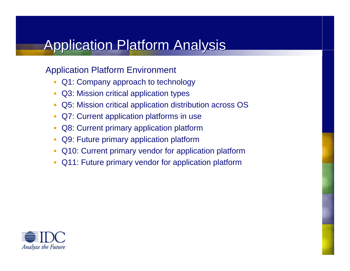# Application Platform Analysis

### Application Platform Environment

- Q1: Company approach to technology
- П Q3: Mission critical application types
- $\mathcal{L}_{\mathcal{A}}$ Q5: Mission critical application distribution across OS
- Q7: Current application platforms in use
- $\mathcal{L}^{\text{max}}_{\text{max}}$ Q8: Current primary application platform
- M Q9: Future primary application platform
- Q10: Current primary vendor for application platform
- Q11: Future primary vendor for application platform

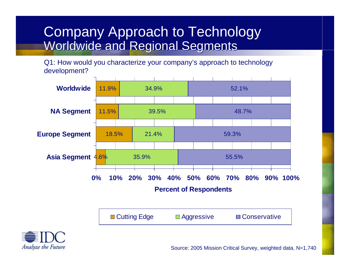### Company Approach to Technology Company Approach to Technology Worldwide and Regional Segments Worldwide and Regional Segments

Q1: How would you characterize your company's approach to technology development?



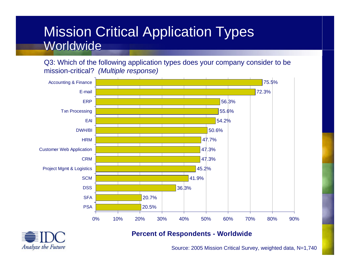### Mission Critical Application Types Mission Critical Application Types Worldwide

Q3: Which of the following application types does your company consider to be mission-critical? *(Multiple response)*





#### **Percent of Respondents - Worldwide**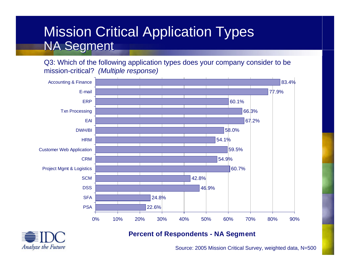## Mission Critical Application Types Mission Critical Application Types NA Segment NA Segment

Q3: Which of the following application types does your company consider to be mission-critical? *(Multiple response)*





#### **Percent of Respondents - NA Segment**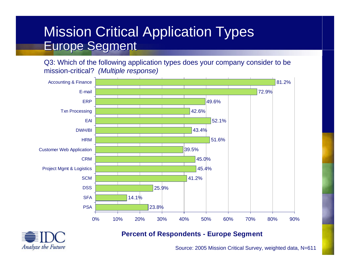## Mission Critical Application Types Mission Critical Application Types Europe Segment Europe Segment

Q3: Which of the following application types does your company consider to be mission-critical? *(Multiple response)*





#### **Percent of Respondents - Europe Segment**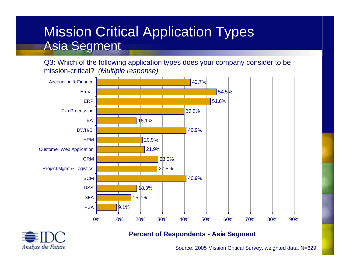## Mission Critical Application Types Mission Critical Application Types Asia Segment Asia Segment

Q3: Which of the following application types does your company consider to be mission-critical? *(Multiple response)*





#### **Percent of Respondents - Asia Segment**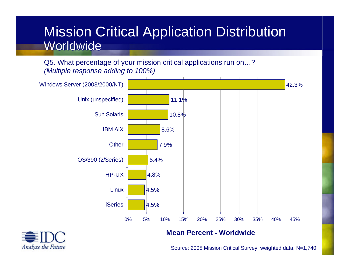### Mission Critical Application Distribution Mission Critical Application Distribution Worldwide

Q5. What percentage of your mission critical applications run on…? *(Multiple response adding to 100%)*





#### **Mean Percent - Worldwide**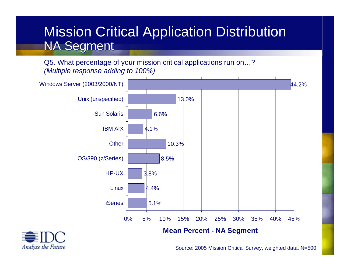## Mission Critical Application Distribution Mission Critical Application Distribution NA Segment NA Segment

Q5. What percentage of your mission critical applications run on…? *(Multiple response adding to 100%)*



Analyze the Future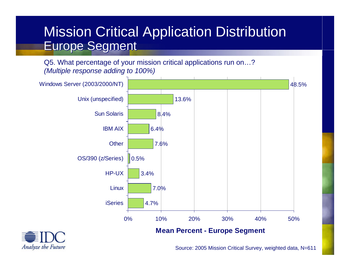### Mission Critical Application Distribution Mission Critical Application Distribution Europe Segment Europe Segment

Q5. What percentage of your mission critical applications run on…? *(Multiple response adding to 100%)*



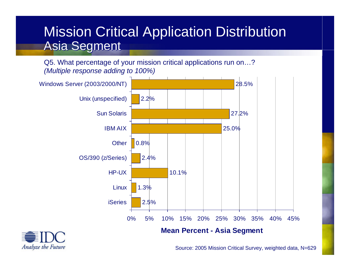## Mission Critical Application Distribution Mission Critical Application Distribution Asia Segment Asia Segment

Q5. What percentage of your mission critical applications run on…? *(Multiple response adding to 100%)*



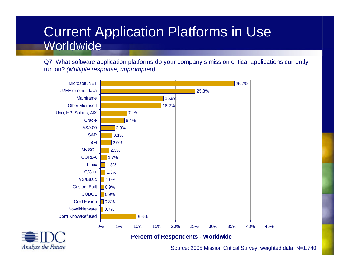### Current Application Platforms in Use Current Application Platforms in Use Worldwide

Q7: What software application platforms do your company's mission critical applications currently run on? *(Multiple response, unprompted)*





#### **Percent of Respondents - Worldwide**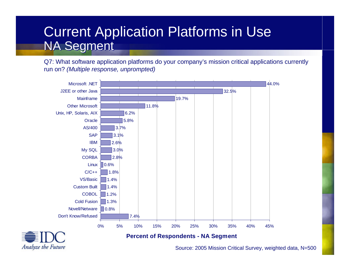### Current Application Platforms in Use Current Application Platforms in Use NA Segment NA Segment

Q7: What software application platforms do your company's mission critical applications currently run on? *(Multiple response, unprompted)*





#### **Percent of Respondents - NA Segment**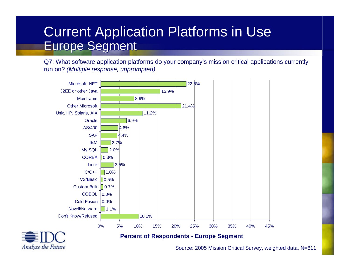### Current Application Platforms in Use Current Application Platforms in Use Europe Segment Europe Segment

Q7: What software application platforms do your company's mission critical applications currently run on? *(Multiple response, unprompted)*





#### **Percent of Respondents - Europe Segment**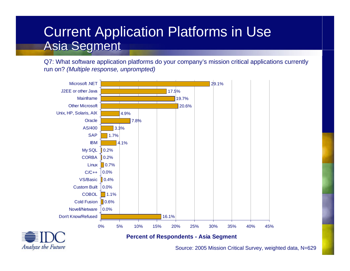### Current Application Platforms in Use Current Application Platforms in Use Asia Segment Asia Segment

Q7: What software application platforms do your company's mission critical applications currently run on? *(Multiple response, unprompted)*





#### **Percent of Respondents - Asia Segment**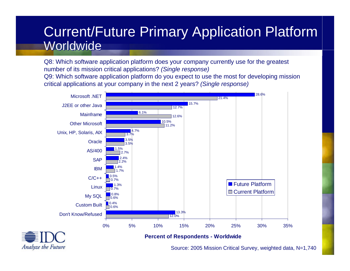### Current/Future Primary Application Platform Current/Future Primary Application Platform Worldwide

Q8: Which software application platform does your company currently use for the greatest number of its mission critical applications? *(Single response)* Q9: Which software application platform do you expect to use the most for developing mission critical applications at your company in the next 2 years? *(Single response)*





#### **Percent of Respondents - Worldwide**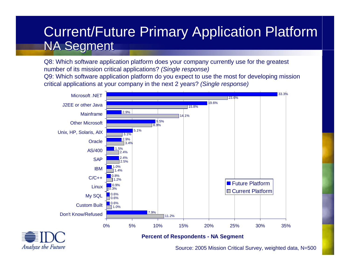## Current/Future Primary Application Platform Current/Future Primary Application Platform NA Segment NA Segment

Q8: Which software application platform does your company currently use for the greatest number of its mission critical applications? *(Single response)* Q9: Which software application platform do you expect to use the most for developing mission critical applications at your company in the next 2 years? *(Single response)*





#### **Percent of Respondents - NA Segment**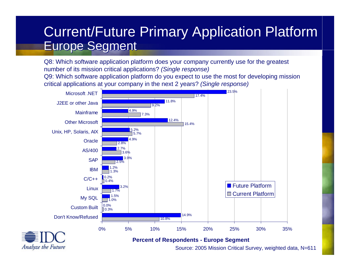### Current/Future Primary Application Platform Current/Future Primary Application Platform Europe Segment Europe Segment

Q8: Which software application platform does your company currently use for the greatest number of its mission critical applications? *(Single response)* Q9: Which software application platform do you expect to use the most for developing mission critical applications at your company in the next 2 years? *(Single response)*



Analyze the Future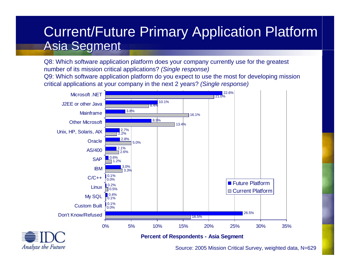### Current/Future Primary Application Platform Current/Future Primary Application Platform Asia Segment Asia Segment

Q8: Which software application platform does your company currently use for the greatest number of its mission critical applications? *(Single response)* Q9: Which software application platform do you expect to use the most for developing mission critical applications at your company in the next 2 years? *(Single response)*





#### **Percent of Respondents - Asia Segment**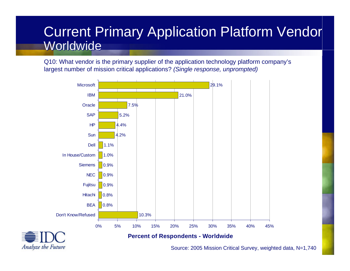### Current Primary Application Platform Vendor Current Primary Application Platform Vendor Worldwide

Q10: What vendor is the primary supplier of the application technology platform company's largest number of mission critical applications? *(Single response, unprompted)*





#### **Percent of Respondents - Worldwide**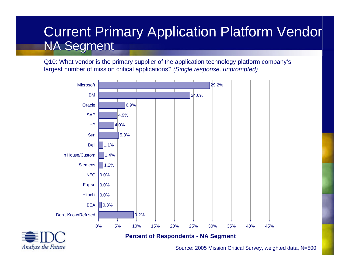## Current Primary Application Platform Vendor NA Segment NA Segment

Q10: What vendor is the primary supplier of the application technology platform company's largest number of mission critical applications? *(Single response, unprompted)*



**Analyze the Future**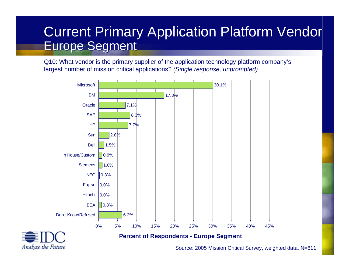### Current Primary Application Platform Vendor Europe Segment Europe Segment

Q10: What vendor is the primary supplier of the application technology platform company's largest number of mission critical applications? *(Single response, unprompted)*



**Analyze the Future**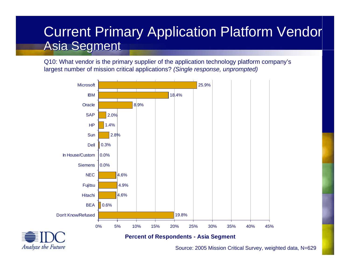## Current Primary Application Platform Vendor Asia Segment Asia Segment

Q10: What vendor is the primary supplier of the application technology platform company's largest number of mission critical applications? *(Single response, unprompted)*





#### **Percent of Respondents - Asia Segment**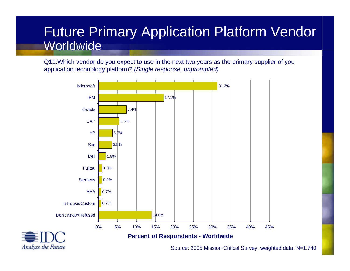### Future Primary Application Platform Vendor Future Primary Application Platform Vendor Worldwide

Q11:Which vendor do you expect to use in the next two years as the primary supplier of you application technology platform? *(Single response, unprompted)*



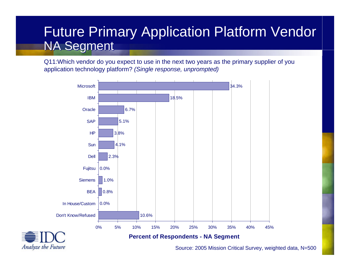### Future Primary Application Platform Vendor Future Primary Application Platform Vendor NA Segment NA Segment

Q11:Which vendor do you expect to use in the next two years as the primary supplier of you application technology platform? *(Single response, unprompted)*



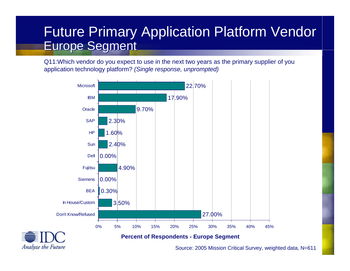### Future Primary Application Platform Vendor Future Primary Application Platform Vendor Europe Segment Europe Segment

Q11:Which vendor do you expect to use in the next two years as the primary supplier of you application technology platform? *(Single response, unprompted)*





#### **Percent of Respondents - Europe Segment**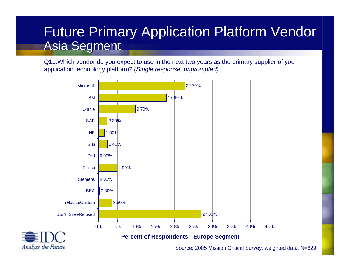### Future Primary Application Platform Vendor Future Primary Application Platform Vendor Asia Segment Asia Segment

Q11:Which vendor do you expect to use in the next two years as the primary supplier of you application technology platform? *(Single response, unprompted)*





#### **Percent of Respondents - Europe Segment**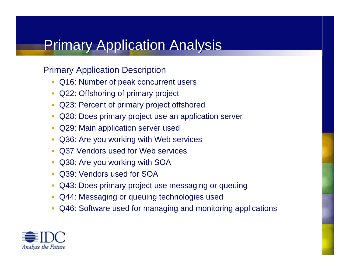# **Primary Application Analysis**

### Primary Application Description

- $\overline{\phantom{a}}$ Q16: Number of peak concurrent users
- $\mathbf{r}$ Q22: Offshoring of primary project
- $\overline{\phantom{a}}$ Q23: Percent of primary project offshored
- $\mathcal{C}$ Q28: Does primary project use an application server
- $\overline{\phantom{a}}$ Q29: Main application server used
- п Q36: Are you working with Web services
- $\blacksquare$ Q37 Vendors used for Web services
- $\overline{\phantom{a}}$ Q38: Are you working with SOA
- $\overline{\phantom{a}}$ Q39: Vendors used for SOA
- $\overline{\phantom{a}}$ Q43: Does primary project use messaging or queuing
- $\mathcal{C}$ Q44: Messaging or queuing technologies used
- $\Box$ Q46: Software used for managing and monitoring applications

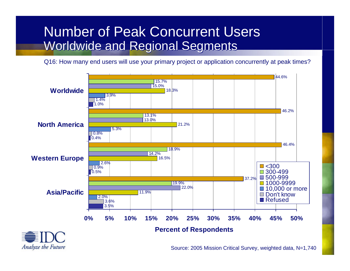## Number of Peak Concurrent Users Number of Peak Concurrent Users Worldwide and Regional Segments Worldwide and Regional Segments

Q16: How many end users will use your primary project or application concurrently at peak times?

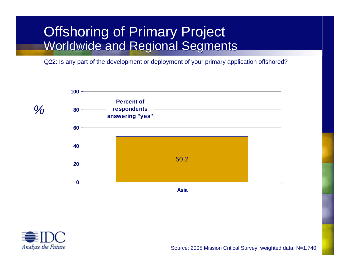## Offshoring of Primary Project Offshoring of Primary Project Worldwide and Regional Segments Worldwide and Regional Segments

Q22: Is any part of the development or deployment of your primary application offshored?



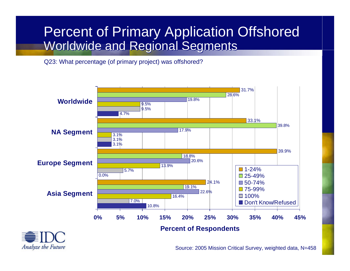## Percent of Primary Application Offshored Percent of Primary Application Offshored Worldwide and Regional Segments Worldwide and Regional Segments

Q23: What percentage (of primary project) was offshored?

Analyze the Future

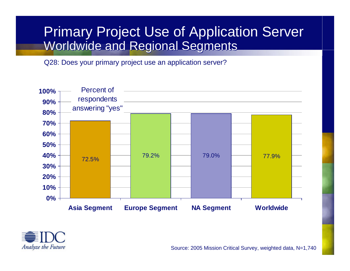## Primary Project Use of Application Server Primary Project Use of Application Server Worldwide and Regional Segments Worldwide and Regional Segments

Q28: Does your primary project use an application server?





Source: 2005 Mission Critical Survey, weighted data, N=1,740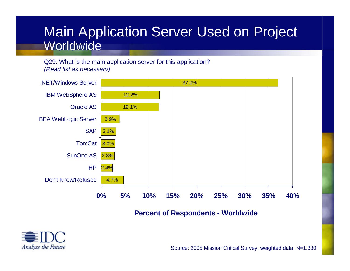## Main Application Server Used on Project Main Application Server Used on Project Worldwide

Q29: What is the main application server for this application? *(Read list as necessary)*



**Percent of Respondents - Worldwide**

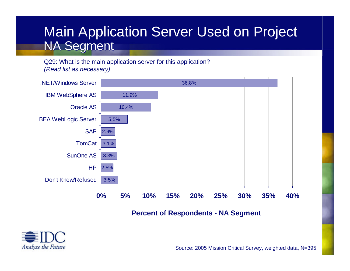## Main Application Server Used on Project Main Application Server Used on Project NA Segment NA Segment

Q29: What is the main application server for this application? *(Read list as necessary)*



**Percent of Respondents - NA Segment**

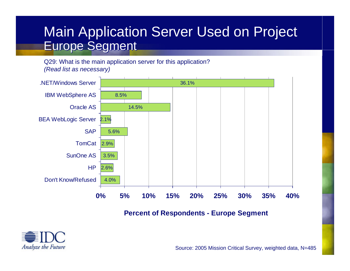## Main Application Server Used on Project Main Application Server Used on Project Europe Segment Europe Segment

Q29: What is the main application server for this application? *(Read list as necessary)*



### **Percent of Respondents - Europe Segment**

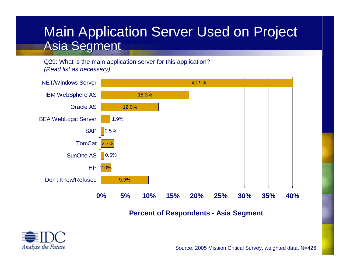## Main Application Server Used on Project Main Application Server Used on Project Asia Segment Asia Segment

Q29: What is the main application server for this application? *(Read list as necessary)*



**Percent of Respondents - Asia Segment**

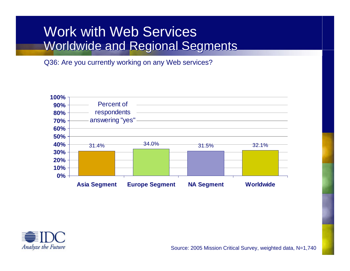## Work with Web Services Work with Web Services Worldwide and Regional Segments Worldwide and Regional Segments

Q36: Are you currently working on any Web services?



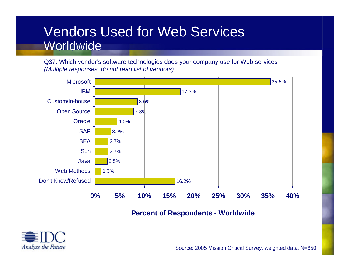## Vendors Used for Web Services Vendors Used for Web Services Worldwide

Q37. Which vendor's software technologies does your company use for Web services *(Multiple responses, do not read list of vendors)*



**Percent of Respondents - Worldwide**

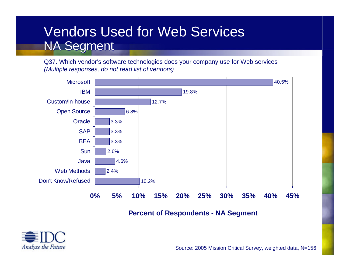## Vendors Used for Web Services Vendors Used for Web Services NA Segment NA Segment

Q37. Which vendor's software technologies does your company use for Web services *(Multiple responses, do not read list of vendors)*



**Percent of Respondents - NA Segment**

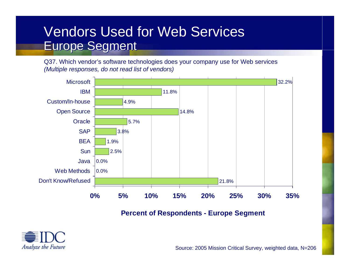## Vendors Used for Web Services Vendors Used for Web Services Europe Segment Europe Segment

Q37. Which vendor's software technologies does your company use for Web services *(Multiple responses, do not read list of vendors)*



**Percent of Respondents - Europe Segment**

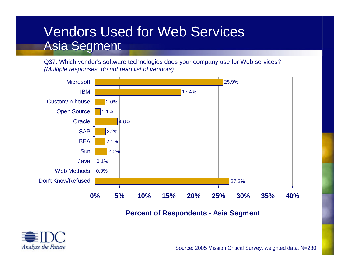## Vendors Used for Web Services Vendors Used for Web Services Asia Segment Asia Segment

Q37. Which vendor's software technologies does your company use for Web services? *(Multiple responses, do not read list of vendors)*



### **Percent of Respondents - Asia Segment**

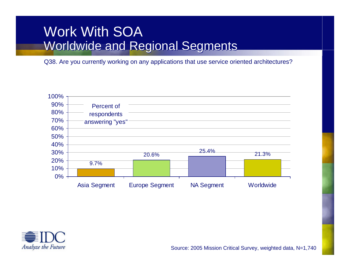## Work With SOA Worldwide and Regional Segments Worldwide and Regional Segments

Q38. Are you currently working on any applications that use service oriented architectures?



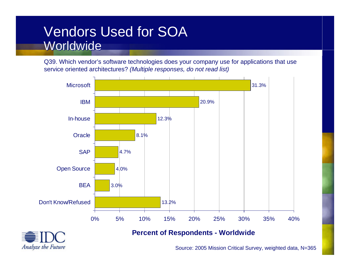## Vendors Used for SOA Worldwide

Q39. Which vendor's software technologies does your company use for applications that use service oriented architectures? *(Multiple responses, do not read list)*





### **Percent of Respondents - Worldwide**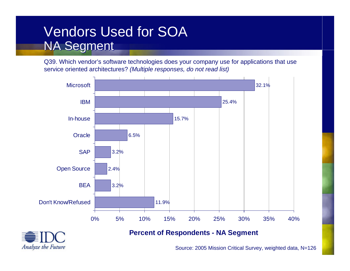## Vendors Used for SOA Vendors Used for SOA NA Segment NA Segment

Q39. Which vendor's software technologies does your company use for applications that use service oriented architectures? *(Multiple responses, do not read list)*





### **Percent of Respondents - NA Segment**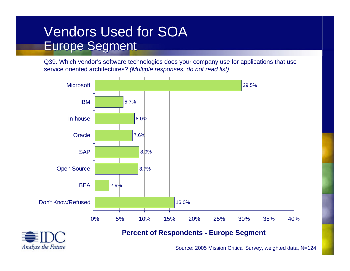## Vendors Used for SOA Vendors Used for SOA Europe Segment Europe Segment

Q39. Which vendor's software technologies does your company use for applications that use service oriented architectures? *(Multiple responses, do not read list)*





### **Percent of Respondents - Europe Segment**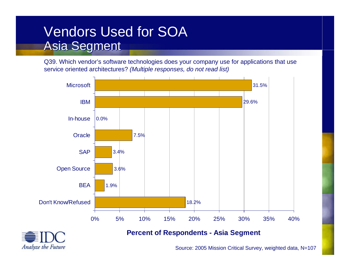## Vendors Used for SOA Vendors Used for SOA Asia Segment Asia Segment

Q39. Which vendor's software technologies does your company use for applications that use service oriented architectures? *(Multiple responses, do not read list)*





### **Percent of Respondents - Asia Segment**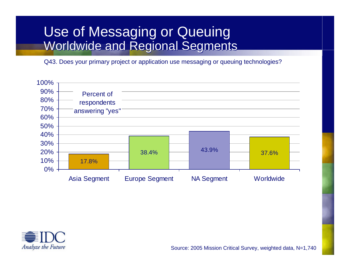## Use of Messaging or Queuing Use of Messaging or Queuing Worldwide and Regional Segments Worldwide and Regional Segments

Q43. Does your primary project or application use messaging or queuing technologies?



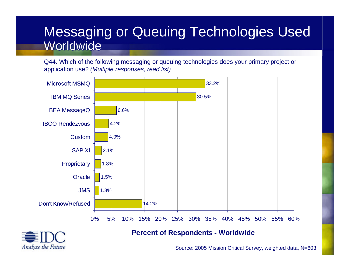## Messaging or Queuing Technologies Used Messaging or Queuing Technologies Used Worldwide

Q44. Which of the following messaging or queuing technologies does your primary project or application use? *(Multiple responses, read list)*





#### **Percent of Respondents - Worldwide**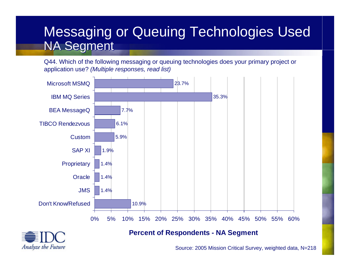## Messaging or Queuing Technologies Used Messaging or Queuing Technologies Used NA Segment NA Segment

Q44. Which of the following messaging or queuing technologies does your primary project or application use? *(Multiple responses, read list)*





### **Percent of Respondents - NA Segment**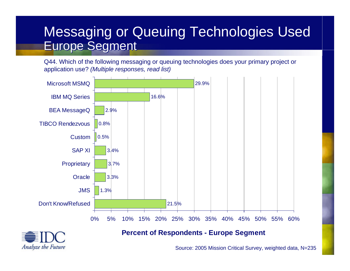## Messaging or Queuing Technologies Used Messaging or Queuing Technologies Used Europe Segment Europe Segment

Q44. Which of the following messaging or queuing technologies does your primary project or application use? *(Multiple responses, read list)*





### **Percent of Respondents - Europe Segment**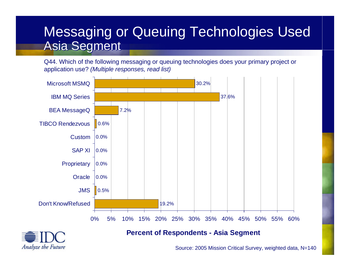## Messaging or Queuing Technologies Used Messaging or Queuing Technologies Used Asia Segment Asia Segment

Q44. Which of the following messaging or queuing technologies does your primary project or application use? *(Multiple responses, read list)*





### **Percent of Respondents - Asia Segment**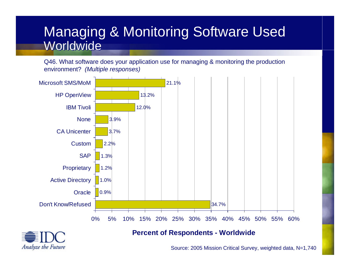## Managing & Monitoring Software Used Managing & Monitoring Software Used Worldwide

Q46. What software does your application use for managing & monitoring the production environment? *(Multiple responses)*





#### **Percent of Respondents - Worldwide**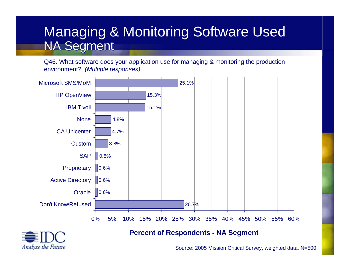## Managing & Monitoring Software Used Managing & Monitoring Software Used NA Segment NA Segment

Q46. What software does your application use for managing & monitoring the production environment? *(Multiple responses)*





### **Percent of Respondents - NA Segment**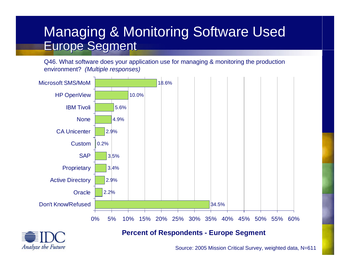## Managing & Monitoring Software Used Managing & Monitoring Software Used Europe Segment Europe Segment

Q46. What software does your application use for managing & monitoring the production environment? *(Multiple responses)*





### **Percent of Respondents - Europe Segment**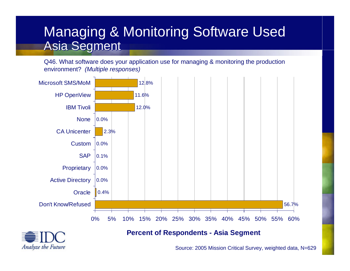## Managing & Monitoring Software Used Managing & Monitoring Software Used Asia Segment Asia Segment

Q46. What software does your application use for managing & monitoring the production environment? *(Multiple responses)*





### **Percent of Respondents - Asia Segment**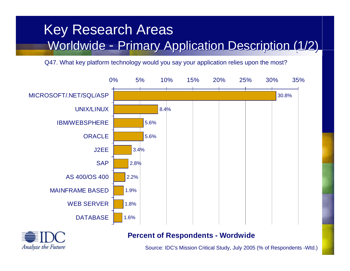#### Key Research Areas Key Research Areas Worldwide -Worldwide - Primary Application Description (1/2) - Primary Application Description (1/2)

Q47. What key platform technology would you say your application relies upon the most?





### **Percent of Respondents - Wordwide**

Source: IDC's Mission Critical Study, July 2005 (% of Respondents -Wtd.)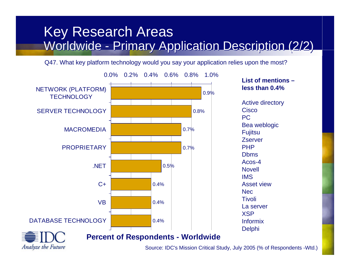## Key Research Areas Key Research Areas Worldwide - Primary Application Description (2/2) Worldwide - Primary Application Description (2/2)

Q47. What key platform technology would you say your application relies upon the most?



Source: IDC's Mission Critical Study, July 2005 (% of Respondents -Wtd.)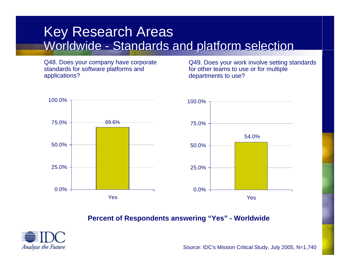Q48. Does your company have corporate standards for software platforms and applications?

Q49. Does your work involve setting standards for other teams to use or for multiple departments to use?



**Percent of Respondents answering "Yes" - Worldwide**



Source: IDC's Mission Critical Study, July 2005, N=1,740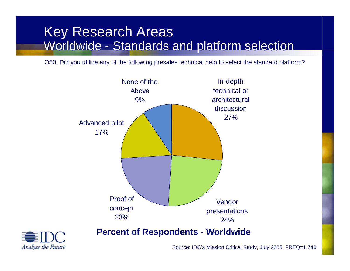Q50. Did you utilize any of the following presales technical help to select the standard platform?





Source: IDC's Mission Critical Study, July 2005, FREQ=1,740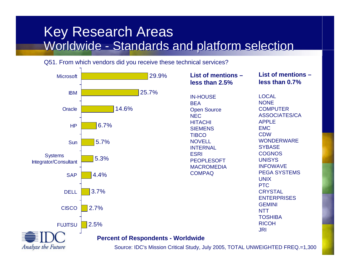#### Q51. From which vendors did you receive these technical services?

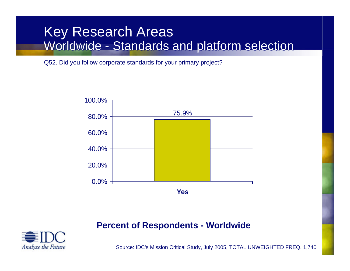Q52. Did you follow corporate standards for your primary project?



### **Percent of Respondents - Worldwide**



Source: IDC's Mission Critical Study, July 2005, TOTAL UNWEIGHTED FREQ. 1,740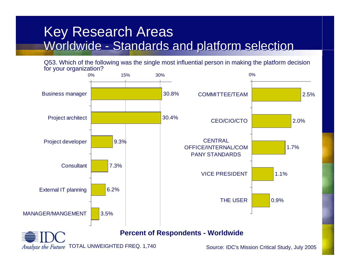Q53. Which of the following was the single most influential person in making the platform decision for your organization?

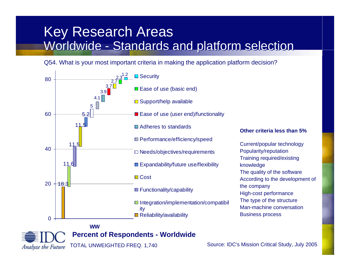Q54. What is your most important criteria in making the application platform decision?



**Percent of Respondents - Worldwide**

Analyze the Future

TOTAL UNWEIGHTED FREQ. 1,740 Source: IDC's Mission Critical Study, July 2005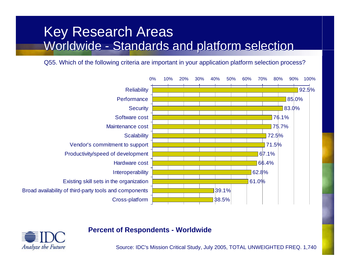## Key Research Areas Key Research Areas Worldwide - Standards and platform selection Worldwide - Standards and platform selection

Q55. Which of the following criteria are important in your application platform selection process?



### **Percent of Respondents - Worldwide**

Analyze the Future

Source: IDC's Mission Critical Study, July 2005, TOTAL UNWEIGHTED FREQ. 1,740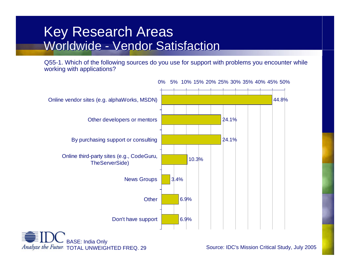Q55-1. Which of the following sources do you use for support with problems you encounter while working with applications?



0% 5% 10% 15% 20% 25% 30% 35% 40% 45% 50%

Analyze the Future TOTAL UNWEIGHTED FREQ. 29

Source: IDC's Mission Critical Study, July 2005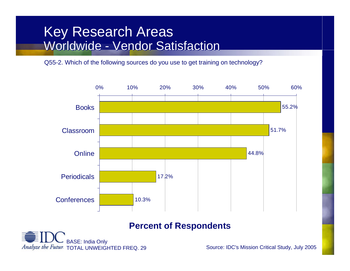Q55-2. Which of the following sources do you use to get training on technology?



### **Percent of Respondents**



Source: IDC's Mission Critical Study, July 2005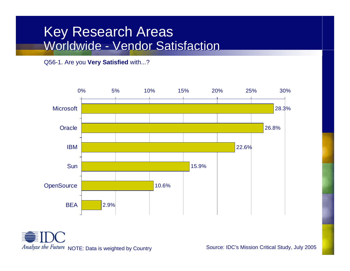Q56-1. Are you **Very Satisfied** with...?



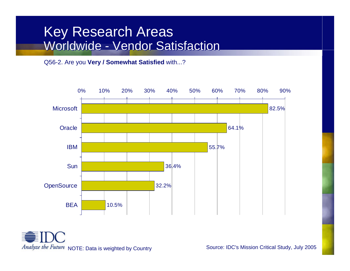#### Q56-2. Are you **Very / Somewhat Satisfied** with...?



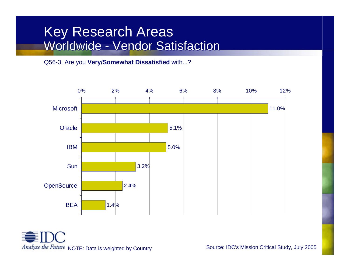#### Q56-3. Are you **Very/Somewhat Dissatisfied** with...?



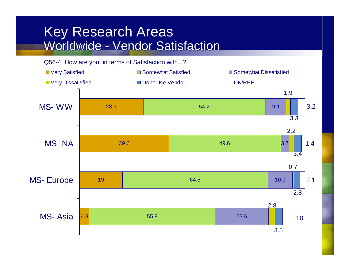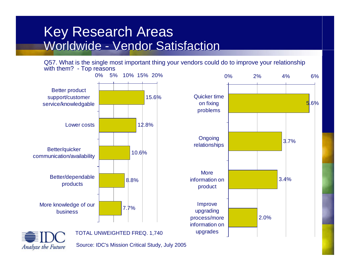Q57. What is the single most important thing your vendors could do to improve your relationship with them? - Top reasons



Analyze the Future



Source: IDC's Mission Critical Study, July 2005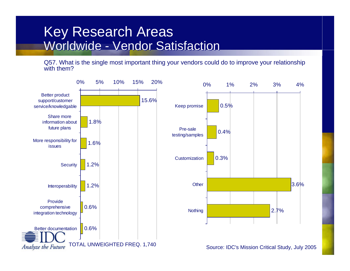Q57. What is the single most important thing your vendors could do to improve your relationship with them?

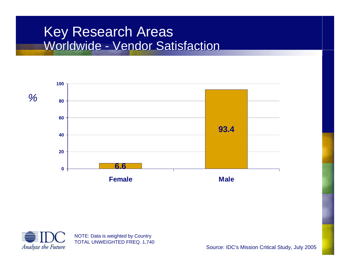



Source: IDC's Mission Critical Study, July 2005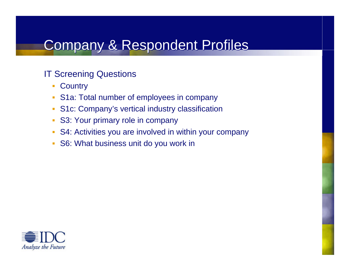# Company & Respondent Profiles

### IT Screening Questions

- **Country**
- S1a: Total number of employees in company
- $\overline{\mathcal{A}}$ S1c: Company's vertical industry classification
- × S3: Your primary role in company
- × S4: Activities you are involved in within your company
- $\overline{\phantom{a}}$ S6: What business unit do you work in

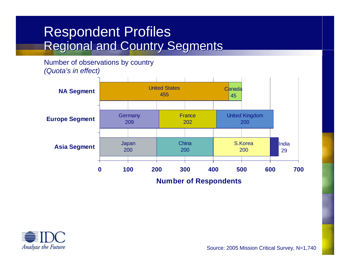## Respondent Profiles Respondent Profiles Regional and Country Segments Regional and Country Segments

Number of observations by country *(Quota's in effect)*



**Number of Respondents**



Source: 2005 Mission Critical Survey, N=1,740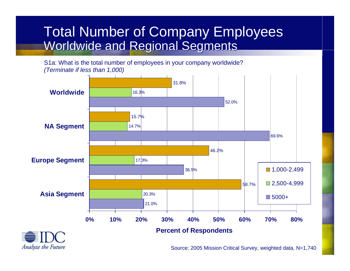## Total Number of Company Employees Total Number of Company Employees Worldwide and Regional Segments Worldwide and Regional Segments

S1a: What is the total number of employees in your company worldwide? *(Terminate if less than 1,000)*

Analyze the Future

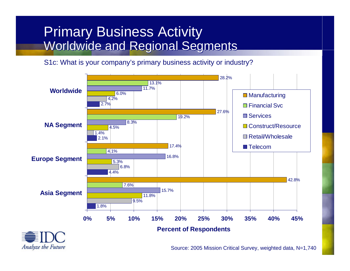## Primary Business Activity Primary Business Activity Worldwide and Regional Segments Worldwide and Regional Segments

S1c: What is your company's primary business activity or industry?

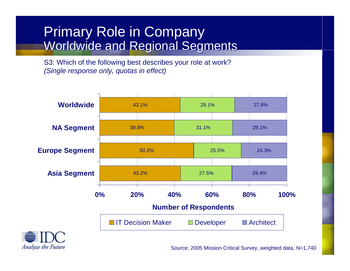## Primary Role in Company Primary Role in Company Worldwide and Regional Segments Worldwide and Regional Segments

S3: Which of the following best describes your role at work? *(Single response only, quotas in effect)*



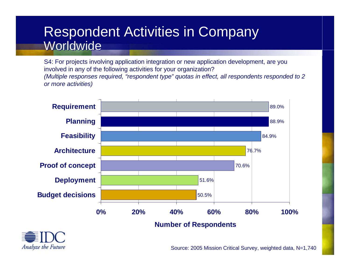## Respondent Activities in Company Respondent Activities in Company Worldwide

S4: For projects involving application integration or new application development, are you involved in any of the following activities for your organization? *(Multiple responses required, "respondent type" quotas in effect, all respondents responded to 2 or more activities)*



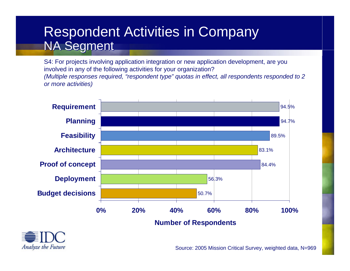## Respondent Activities in Company Respondent Activities in Company NA Segment NA Segment

S4: For projects involving application integration or new application development, are you involved in any of the following activities for your organization? *(Multiple responses required, "respondent type" quotas in effect, all respondents responded to 2 or more activities)*



**Number of Respondents**

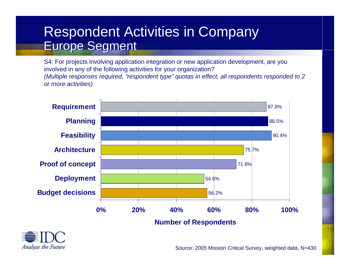## Respondent Activities in Company Respondent Activities in Company Europe Segment Europe Segment

S4: For projects involving application integration or new application development, are you involved in any of the following activities for your organization? *(Multiple responses required, "respondent type" quotas in effect, all respondents responded to 2 or more activities)*



**Number of Respondents**

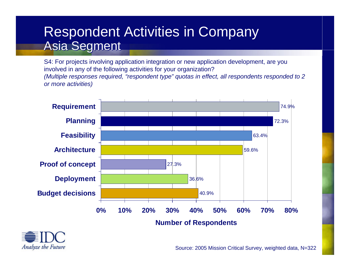## Respondent Activities in Company Respondent Activities in Company Asia Segment Asia Segment

S4: For projects involving application integration or new application development, are you involved in any of the following activities for your organization? *(Multiple responses required, "respondent type" quotas in effect, all respondents responded to 2 or more activities)*



**Number of Respondents**

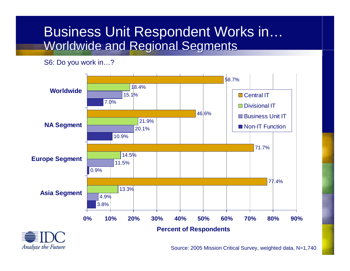## Business Unit Respondent Works in… Business Unit Respondent Works in… Worldwide and Regional Segments Worldwide and Regional Segments

S6: Do you work in…?

Analyze the Future